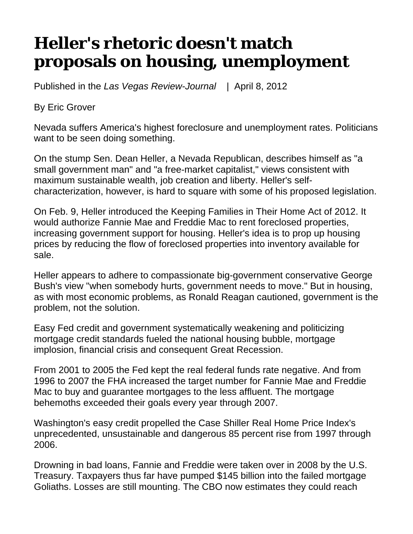## **Heller's rhetoric doesn't match proposals on housing, unemployment**

Published in the *Las Vegas Review-Journal* | April 8, 2012

By Eric Grover

Nevada suffers America's highest foreclosure and unemployment rates. Politicians want to be seen doing something.

On the stump Sen. Dean Heller, a Nevada Republican, describes himself as "a small government man" and "a free-market capitalist," views consistent with maximum sustainable wealth, job creation and liberty. Heller's selfcharacterization, however, is hard to square with some of his proposed legislation.

On Feb. 9, Heller introduced the Keeping Families in Their Home Act of 2012. It would authorize Fannie Mae and Freddie Mac to rent foreclosed properties, increasing government support for housing. Heller's idea is to prop up housing prices by reducing the flow of foreclosed properties into inventory available for sale.

Heller appears to adhere to compassionate big-government conservative George Bush's view "when somebody hurts, government needs to move." But in housing, as with most economic problems, as Ronald Reagan cautioned, government is the problem, not the solution.

Easy Fed credit and government systematically weakening and politicizing mortgage credit standards fueled the national housing bubble, mortgage implosion, financial crisis and consequent Great Recession.

From 2001 to 2005 the Fed kept the real federal funds rate negative. And from 1996 to 2007 the FHA increased the target number for Fannie Mae and Freddie Mac to buy and guarantee mortgages to the less affluent. The mortgage behemoths exceeded their goals every year through 2007.

Washington's easy credit propelled the Case Shiller Real Home Price Index's unprecedented, unsustainable and dangerous 85 percent rise from 1997 through 2006.

Drowning in bad loans, Fannie and Freddie were taken over in 2008 by the U.S. Treasury. Taxpayers thus far have pumped \$145 billion into the failed mortgage Goliaths. Losses are still mounting. The CBO now estimates they could reach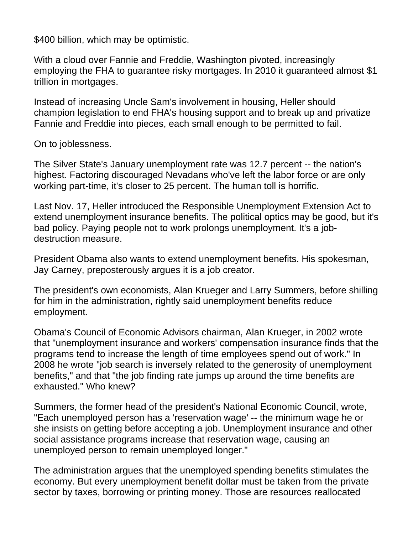\$400 billion, which may be optimistic.

With a cloud over Fannie and Freddie, Washington pivoted, increasingly employing the FHA to guarantee risky mortgages. In 2010 it guaranteed almost \$1 trillion in mortgages.

Instead of increasing Uncle Sam's involvement in housing, Heller should champion legislation to end FHA's housing support and to break up and privatize Fannie and Freddie into pieces, each small enough to be permitted to fail.

On to joblessness.

The Silver State's January unemployment rate was 12.7 percent -- the nation's highest. Factoring discouraged Nevadans who've left the labor force or are only working part-time, it's closer to 25 percent. The human toll is horrific.

Last Nov. 17, Heller introduced the Responsible Unemployment Extension Act to extend unemployment insurance benefits. The political optics may be good, but it's bad policy. Paying people not to work prolongs unemployment. It's a jobdestruction measure.

President Obama also wants to extend unemployment benefits. His spokesman, Jay Carney, preposterously argues it is a job creator.

The president's own economists, Alan Krueger and Larry Summers, before shilling for him in the administration, rightly said unemployment benefits reduce employment.

Obama's Council of Economic Advisors chairman, Alan Krueger, in 2002 wrote that "unemployment insurance and workers' compensation insurance finds that the programs tend to increase the length of time employees spend out of work." In 2008 he wrote "job search is inversely related to the generosity of unemployment benefits," and that "the job finding rate jumps up around the time benefits are exhausted." Who knew?

Summers, the former head of the president's National Economic Council, wrote, "Each unemployed person has a 'reservation wage' -- the minimum wage he or she insists on getting before accepting a job. Unemployment insurance and other social assistance programs increase that reservation wage, causing an unemployed person to remain unemployed longer."

The administration argues that the unemployed spending benefits stimulates the economy. But every unemployment benefit dollar must be taken from the private sector by taxes, borrowing or printing money. Those are resources reallocated